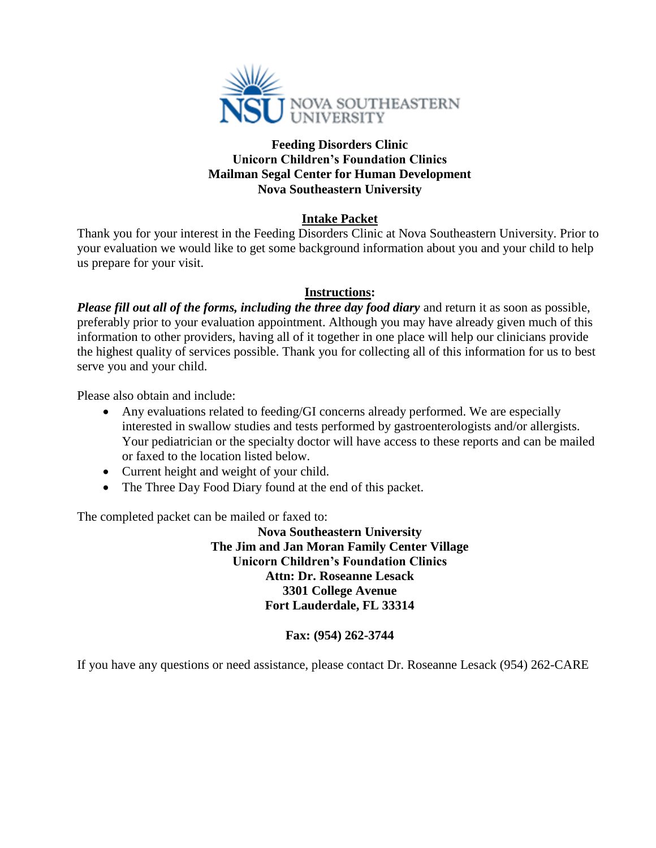

#### **Feeding Disorders Clinic Unicorn Children's Foundation Clinics Mailman Segal Center for Human Development Nova Southeastern University**

# **Intake Packet**

Thank you for your interest in the Feeding Disorders Clinic at Nova Southeastern University. Prior to your evaluation we would like to get some background information about you and your child to help us prepare for your visit.

#### **Instructions:**

*Please fill out all of the forms, including the three day food diary* and return it as soon as possible, preferably prior to your evaluation appointment. Although you may have already given much of this information to other providers, having all of it together in one place will help our clinicians provide the highest quality of services possible. Thank you for collecting all of this information for us to best serve you and your child.

Please also obtain and include:

- Any evaluations related to feeding/GI concerns already performed. We are especially interested in swallow studies and tests performed by gastroenterologists and/or allergists. Your pediatrician or the specialty doctor will have access to these reports and can be mailed or faxed to the location listed below.
- Current height and weight of your child.
- The Three Day Food Diary found at the end of this packet.

The completed packet can be mailed or faxed to:

**Nova Southeastern University The Jim and Jan Moran Family Center Village Unicorn Children's Foundation Clinics Attn: Dr. Roseanne Lesack 3301 College Avenue Fort Lauderdale, FL 33314**

## **Fax: (954) 262-3744**

If you have any questions or need assistance, please contact Dr. Roseanne Lesack (954) 262-CARE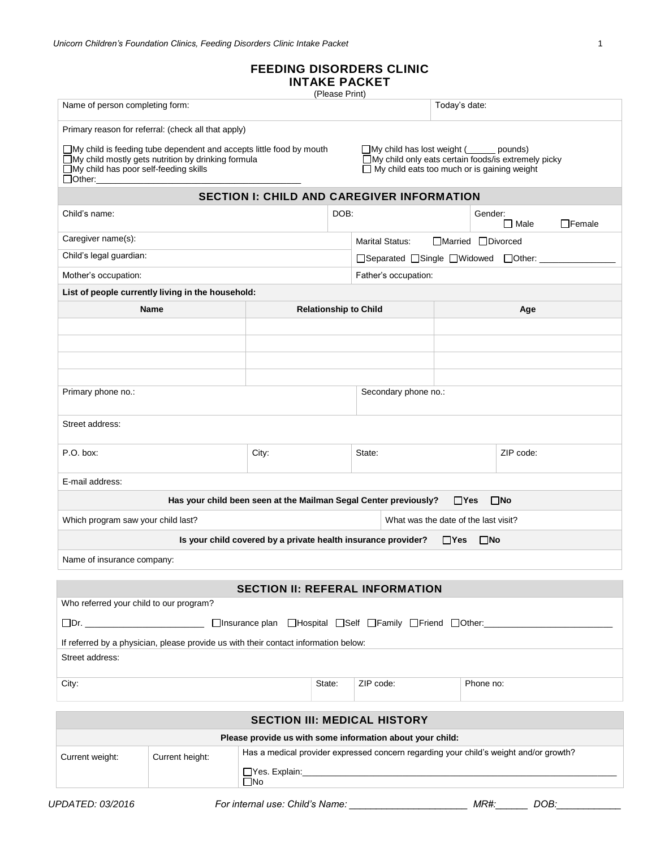# **FEEDING DISORDERS CLINIC**

## **INTAKE PACKET**

(Please Print)

| Name of person completing form:                                                                                                                                                              |                                                                                     |                                                                                       | u icasc i ilih |                                                                                                                                                                   | Today's date:      |           |              |               |
|----------------------------------------------------------------------------------------------------------------------------------------------------------------------------------------------|-------------------------------------------------------------------------------------|---------------------------------------------------------------------------------------|----------------|-------------------------------------------------------------------------------------------------------------------------------------------------------------------|--------------------|-----------|--------------|---------------|
|                                                                                                                                                                                              | Primary reason for referral: (check all that apply)                                 |                                                                                       |                |                                                                                                                                                                   |                    |           |              |               |
| $\Box$ My child is feeding tube dependent and accepts little food by mouth<br>□My child mostly gets nutrition by drinking formula<br>□My child has poor self-feeding skills<br>$\Box$ Other: |                                                                                     |                                                                                       |                | $\Box$ My child has lost weight ( $\Box$<br>pounds)<br>□My child only eats certain foods/is extremely picky<br>$\Box$ My child eats too much or is gaining weight |                    |           |              |               |
|                                                                                                                                                                                              |                                                                                     | <b>SECTION I: CHILD AND CAREGIVER INFORMATION</b>                                     |                |                                                                                                                                                                   |                    |           |              |               |
| Child's name:                                                                                                                                                                                |                                                                                     |                                                                                       | DOB:           |                                                                                                                                                                   |                    | Gender:   | $\Box$ Male  | $\Box$ Female |
| Caregiver name(s):                                                                                                                                                                           |                                                                                     |                                                                                       |                | <b>Marital Status:</b>                                                                                                                                            | □Married □Divorced |           |              |               |
| Child's legal guardian:                                                                                                                                                                      |                                                                                     |                                                                                       |                | □Separated □Single □Widowed □Other:                                                                                                                               |                    |           |              |               |
| Mother's occupation:                                                                                                                                                                         |                                                                                     |                                                                                       |                | Father's occupation:                                                                                                                                              |                    |           |              |               |
|                                                                                                                                                                                              | List of people currently living in the household:                                   |                                                                                       |                |                                                                                                                                                                   |                    |           |              |               |
|                                                                                                                                                                                              | <b>Name</b>                                                                         |                                                                                       |                | <b>Relationship to Child</b>                                                                                                                                      |                    |           | Age          |               |
|                                                                                                                                                                                              |                                                                                     |                                                                                       |                |                                                                                                                                                                   |                    |           |              |               |
|                                                                                                                                                                                              |                                                                                     |                                                                                       |                |                                                                                                                                                                   |                    |           |              |               |
|                                                                                                                                                                                              |                                                                                     |                                                                                       |                |                                                                                                                                                                   |                    |           |              |               |
|                                                                                                                                                                                              |                                                                                     |                                                                                       |                |                                                                                                                                                                   |                    |           |              |               |
| Primary phone no.:                                                                                                                                                                           |                                                                                     |                                                                                       |                | Secondary phone no.:                                                                                                                                              |                    |           |              |               |
| Street address:                                                                                                                                                                              |                                                                                     |                                                                                       |                |                                                                                                                                                                   |                    |           |              |               |
| P.O. box:                                                                                                                                                                                    |                                                                                     | City:                                                                                 |                | State:                                                                                                                                                            |                    |           | ZIP code:    |               |
| E-mail address:                                                                                                                                                                              |                                                                                     |                                                                                       |                |                                                                                                                                                                   |                    |           |              |               |
|                                                                                                                                                                                              |                                                                                     | Has your child been seen at the Mailman Segal Center previously?                      |                |                                                                                                                                                                   | $\Box$ Yes         |           | $\square$ No |               |
| Which program saw your child last?                                                                                                                                                           |                                                                                     |                                                                                       |                | What was the date of the last visit?                                                                                                                              |                    |           |              |               |
|                                                                                                                                                                                              |                                                                                     | Is your child covered by a private health insurance provider?                         |                |                                                                                                                                                                   | $\Box$ Yes         | $\Box$ No |              |               |
| Name of insurance company:                                                                                                                                                                   |                                                                                     |                                                                                       |                |                                                                                                                                                                   |                    |           |              |               |
|                                                                                                                                                                                              |                                                                                     | <b>SECTION II: REFERAL INFORMATION</b>                                                |                |                                                                                                                                                                   |                    |           |              |               |
| Who referred your child to our program?                                                                                                                                                      |                                                                                     |                                                                                       |                |                                                                                                                                                                   |                    |           |              |               |
|                                                                                                                                                                                              |                                                                                     |                                                                                       |                |                                                                                                                                                                   |                    |           |              |               |
|                                                                                                                                                                                              | If referred by a physician, please provide us with their contact information below: |                                                                                       |                |                                                                                                                                                                   |                    |           |              |               |
| Street address:                                                                                                                                                                              |                                                                                     |                                                                                       |                |                                                                                                                                                                   |                    |           |              |               |
| City:                                                                                                                                                                                        |                                                                                     |                                                                                       | State:         | ZIP code:                                                                                                                                                         |                    | Phone no: |              |               |
| <b>SECTION III: MEDICAL HISTORY</b>                                                                                                                                                          |                                                                                     |                                                                                       |                |                                                                                                                                                                   |                    |           |              |               |
| Please provide us with some information about your child:                                                                                                                                    |                                                                                     |                                                                                       |                |                                                                                                                                                                   |                    |           |              |               |
| Current weight:                                                                                                                                                                              | Current height:                                                                     | Has a medical provider expressed concern regarding your child's weight and/or growth? |                |                                                                                                                                                                   |                    |           |              |               |
|                                                                                                                                                                                              |                                                                                     | $\square$ No                                                                          |                |                                                                                                                                                                   |                    |           |              |               |

*UPDATED: 03/2016 For internal use: Child's Name: \_\_\_\_\_\_\_\_\_\_\_\_\_\_\_\_\_\_\_\_\_\_ MR#:\_\_\_\_\_\_ DOB:\_\_\_\_\_\_\_\_\_\_\_\_*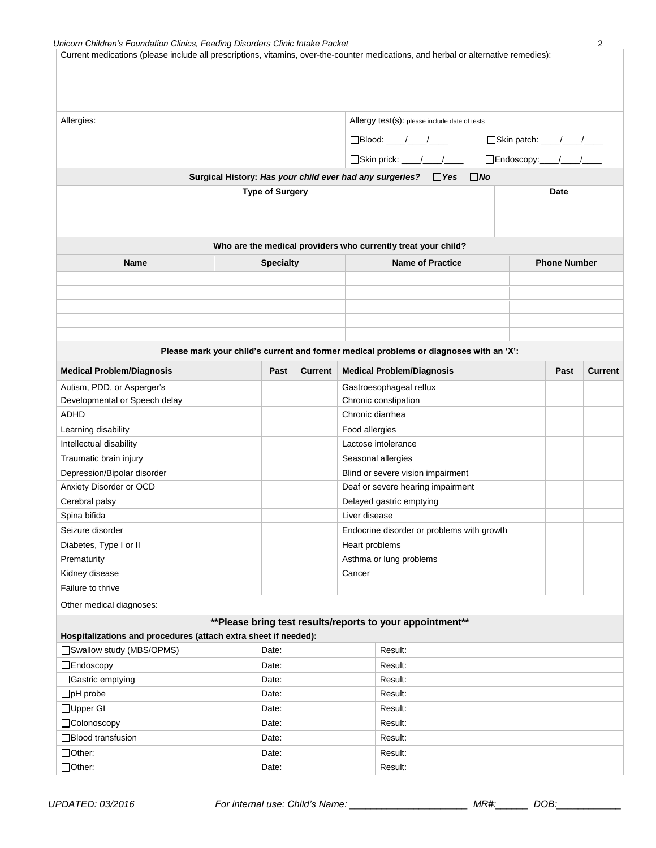| Unicorn Children's Foundation Clinics, Feeding Disorders Clinic Intake Packet                                                       |                        |                |                |                                                                                        |                           | 2              |
|-------------------------------------------------------------------------------------------------------------------------------------|------------------------|----------------|----------------|----------------------------------------------------------------------------------------|---------------------------|----------------|
| Current medications (please include all prescriptions, vitamins, over-the-counter medications, and herbal or alternative remedies): |                        |                |                |                                                                                        |                           |                |
|                                                                                                                                     |                        |                |                |                                                                                        |                           |                |
|                                                                                                                                     |                        |                |                |                                                                                        |                           |                |
|                                                                                                                                     |                        |                |                |                                                                                        |                           |                |
| Allergies:                                                                                                                          |                        |                |                | Allergy test(s): please include date of tests                                          |                           |                |
|                                                                                                                                     |                        |                |                |                                                                                        |                           |                |
|                                                                                                                                     |                        |                |                | $\Box$ Blood: ___/___/____                                                             | □Skin patch: ___/___/___  |                |
|                                                                                                                                     |                        |                |                | Skin prick: ___/__/_                                                                   | □Endoscopy:____/____/____ |                |
|                                                                                                                                     |                        |                |                | Surgical History: Has your child ever had any surgeries?  TYes<br>$\Box$ No            |                           |                |
|                                                                                                                                     | <b>Type of Surgery</b> |                |                |                                                                                        | <b>Date</b>               |                |
|                                                                                                                                     |                        |                |                |                                                                                        |                           |                |
|                                                                                                                                     |                        |                |                |                                                                                        |                           |                |
|                                                                                                                                     |                        |                |                |                                                                                        |                           |                |
|                                                                                                                                     |                        |                |                | Who are the medical providers who currently treat your child?                          |                           |                |
| <b>Name</b>                                                                                                                         | <b>Specialty</b>       |                |                | <b>Name of Practice</b>                                                                | <b>Phone Number</b>       |                |
|                                                                                                                                     |                        |                |                |                                                                                        |                           |                |
|                                                                                                                                     |                        |                |                |                                                                                        |                           |                |
|                                                                                                                                     |                        |                |                |                                                                                        |                           |                |
|                                                                                                                                     |                        |                |                |                                                                                        |                           |                |
|                                                                                                                                     |                        |                |                |                                                                                        |                           |                |
|                                                                                                                                     |                        |                |                | Please mark your child's current and former medical problems or diagnoses with an 'X': |                           |                |
|                                                                                                                                     |                        |                |                |                                                                                        |                           |                |
| <b>Medical Problem/Diagnosis</b>                                                                                                    | Past                   | <b>Current</b> |                | <b>Medical Problem/Diagnosis</b>                                                       | Past                      | <b>Current</b> |
| Autism, PDD, or Asperger's                                                                                                          |                        |                |                | Gastroesophageal reflux                                                                |                           |                |
| Developmental or Speech delay                                                                                                       |                        |                |                | Chronic constipation                                                                   |                           |                |
| <b>ADHD</b>                                                                                                                         |                        |                |                | Chronic diarrhea                                                                       |                           |                |
| Learning disability                                                                                                                 |                        |                | Food allergies |                                                                                        |                           |                |
| Intellectual disability                                                                                                             |                        |                |                | Lactose intolerance                                                                    |                           |                |
| Traumatic brain injury                                                                                                              |                        |                |                | Seasonal allergies                                                                     |                           |                |
| Depression/Bipolar disorder                                                                                                         |                        |                |                | Blind or severe vision impairment                                                      |                           |                |
| Anxiety Disorder or OCD                                                                                                             |                        |                |                | Deaf or severe hearing impairment                                                      |                           |                |
| Cerebral palsy                                                                                                                      |                        |                |                | Delayed gastric emptying                                                               |                           |                |
| Spina bifida                                                                                                                        |                        |                | Liver disease  |                                                                                        |                           |                |
| Seizure disorder                                                                                                                    |                        |                |                | Endocrine disorder or problems with growth                                             |                           |                |
| Diabetes, Type I or II                                                                                                              |                        |                | Heart problems |                                                                                        |                           |                |
| Prematurity                                                                                                                         |                        |                |                | Asthma or lung problems                                                                |                           |                |
| Kidney disease                                                                                                                      |                        |                | Cancer         |                                                                                        |                           |                |
| Failure to thrive                                                                                                                   |                        |                |                |                                                                                        |                           |                |
| Other medical diagnoses:                                                                                                            |                        |                |                |                                                                                        |                           |                |
|                                                                                                                                     |                        |                |                | **Please bring test results/reports to your appointment**                              |                           |                |
| Hospitalizations and procedures (attach extra sheet if needed):                                                                     |                        |                |                |                                                                                        |                           |                |
| Swallow study (MBS/OPMS)                                                                                                            | Date:                  |                |                | Result:                                                                                |                           |                |
| $\Box$ Endoscopy<br>Result:<br>Date:                                                                                                |                        |                |                |                                                                                        |                           |                |
| □Gastric emptying<br>Result:<br>Date:                                                                                               |                        |                |                |                                                                                        |                           |                |
| $\Box$ pH probe<br>Date:<br>Result:                                                                                                 |                        |                |                |                                                                                        |                           |                |
| □Upper GI<br>Result:<br>Date:                                                                                                       |                        |                |                |                                                                                        |                           |                |
| □Colonoscopy<br>Date:                                                                                                               |                        |                |                | Result:                                                                                |                           |                |
| □Blood transfusion<br>Result:<br>Date:                                                                                              |                        |                |                |                                                                                        |                           |                |
| □Other:                                                                                                                             | Date:                  |                |                | Result:                                                                                |                           |                |
| □Other:                                                                                                                             | Date:                  |                |                | Result:                                                                                |                           |                |
|                                                                                                                                     |                        |                |                |                                                                                        |                           |                |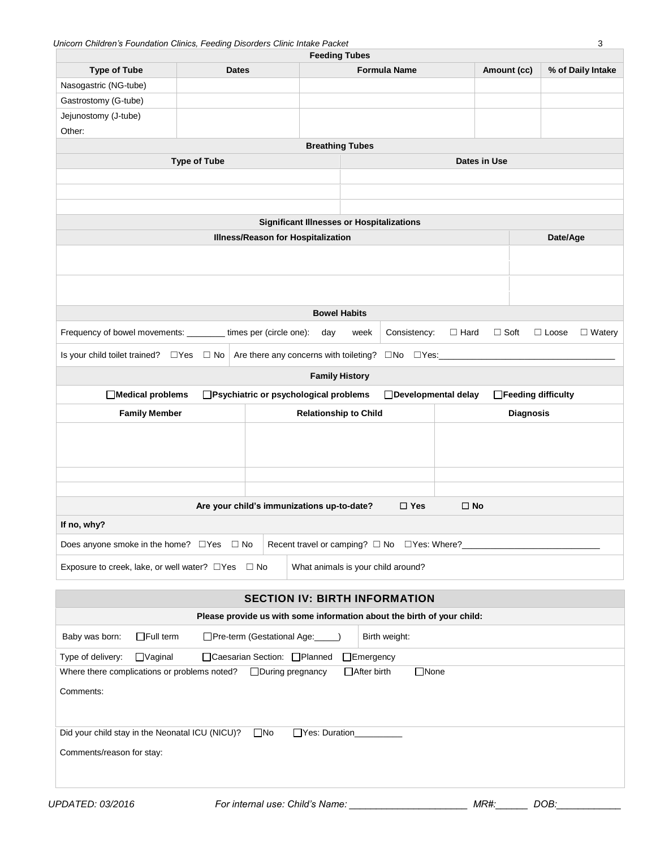| Unicorn Children's Foundation Clinics, Feeding Disorders Clinic Intake Packet                     |                                                                                              |                                                                                        |  | <b>Feeding Tubes</b>         |                                                            |              |              |                  |                     | 3                 |
|---------------------------------------------------------------------------------------------------|----------------------------------------------------------------------------------------------|----------------------------------------------------------------------------------------|--|------------------------------|------------------------------------------------------------|--------------|--------------|------------------|---------------------|-------------------|
| <b>Type of Tube</b>                                                                               | <b>Dates</b>                                                                                 |                                                                                        |  |                              | <b>Formula Name</b>                                        |              | Amount (cc)  |                  |                     | % of Daily Intake |
| Nasogastric (NG-tube)                                                                             |                                                                                              |                                                                                        |  |                              |                                                            |              |              |                  |                     |                   |
| Gastrostomy (G-tube)                                                                              |                                                                                              |                                                                                        |  |                              |                                                            |              |              |                  |                     |                   |
| Jejunostomy (J-tube)                                                                              |                                                                                              |                                                                                        |  |                              |                                                            |              |              |                  |                     |                   |
| Other:                                                                                            |                                                                                              |                                                                                        |  |                              |                                                            |              |              |                  |                     |                   |
| <b>Type of Tube</b>                                                                               |                                                                                              |                                                                                        |  | <b>Breathing Tubes</b>       |                                                            |              | Dates in Use |                  |                     |                   |
|                                                                                                   |                                                                                              |                                                                                        |  |                              |                                                            |              |              |                  |                     |                   |
|                                                                                                   |                                                                                              |                                                                                        |  |                              |                                                            |              |              |                  |                     |                   |
|                                                                                                   |                                                                                              |                                                                                        |  |                              |                                                            |              |              |                  |                     |                   |
|                                                                                                   |                                                                                              | <b>Significant Illnesses or Hospitalizations</b><br>Illness/Reason for Hospitalization |  |                              |                                                            |              |              |                  | Date/Age            |                   |
|                                                                                                   |                                                                                              |                                                                                        |  |                              |                                                            |              |              |                  |                     |                   |
|                                                                                                   |                                                                                              |                                                                                        |  |                              |                                                            |              |              |                  |                     |                   |
|                                                                                                   |                                                                                              |                                                                                        |  |                              |                                                            |              |              |                  |                     |                   |
|                                                                                                   |                                                                                              |                                                                                        |  |                              |                                                            |              |              |                  |                     |                   |
|                                                                                                   |                                                                                              |                                                                                        |  | <b>Bowel Habits</b>          |                                                            |              |              |                  |                     |                   |
| Frequency of bowel movements: _________ times per (circle one): day                               |                                                                                              |                                                                                        |  | week                         | Consistency:                                               | $\Box$ Hard  | $\Box$ Soft  |                  | $\Box$ Loose        | $\Box$ Watery     |
| Is your child toilet trained? □ Yes □ No                                                          |                                                                                              | Are there any concerns with toileting?                                                 |  |                              | $\square$ No $\square$ Yes: $\_\_\_\_\_\_\_\_\_\_\_\_\_\_$ |              |              |                  |                     |                   |
|                                                                                                   |                                                                                              |                                                                                        |  | <b>Family History</b>        |                                                            |              |              |                  |                     |                   |
| □ Medical problems                                                                                |                                                                                              | □Psychiatric or psychological problems                                                 |  |                              | □Developmental delay                                       |              |              |                  | □Feeding difficulty |                   |
| <b>Family Member</b>                                                                              |                                                                                              |                                                                                        |  | <b>Relationship to Child</b> |                                                            |              |              | <b>Diagnosis</b> |                     |                   |
|                                                                                                   |                                                                                              |                                                                                        |  |                              |                                                            |              |              |                  |                     |                   |
|                                                                                                   |                                                                                              |                                                                                        |  |                              |                                                            |              |              |                  |                     |                   |
|                                                                                                   |                                                                                              |                                                                                        |  |                              |                                                            |              |              |                  |                     |                   |
|                                                                                                   |                                                                                              |                                                                                        |  |                              |                                                            |              |              |                  |                     |                   |
|                                                                                                   |                                                                                              | Are your child's immunizations up-to-date?                                             |  |                              | $\square$ Yes                                              | $\square$ No |              |                  |                     |                   |
| If no, why?                                                                                       |                                                                                              |                                                                                        |  |                              |                                                            |              |              |                  |                     |                   |
| Does anyone smoke in the home? $\Box$ Yes $\Box$ No                                               |                                                                                              |                                                                                        |  |                              | Recent travel or camping? □ No □ Yes: Where?               |              |              |                  |                     |                   |
| Exposure to creek, lake, or well water? □Yes                                                      |                                                                                              | $\Box$ No                                                                              |  |                              | What animals is your child around?                         |              |              |                  |                     |                   |
|                                                                                                   |                                                                                              | <b>SECTION IV: BIRTH INFORMATION</b>                                                   |  |                              |                                                            |              |              |                  |                     |                   |
|                                                                                                   |                                                                                              | Please provide us with some information about the birth of your child:                 |  |                              |                                                            |              |              |                  |                     |                   |
| $\Box$ Full term<br>Baby was born:                                                                |                                                                                              | □Pre-term (Gestational Age:                                                            |  |                              | Birth weight:                                              |              |              |                  |                     |                   |
| Type of delivery:<br>$\Box$ Vaginal<br>□Caesarian Section: □Planned<br>$\Box$ Emergency           |                                                                                              |                                                                                        |  |                              |                                                            |              |              |                  |                     |                   |
| □ After birth<br>$\Box$ None<br>□During pregnancy<br>Where there complications or problems noted? |                                                                                              |                                                                                        |  |                              |                                                            |              |              |                  |                     |                   |
| Comments:                                                                                         |                                                                                              |                                                                                        |  |                              |                                                            |              |              |                  |                     |                   |
|                                                                                                   |                                                                                              |                                                                                        |  |                              |                                                            |              |              |                  |                     |                   |
|                                                                                                   | $\square$ No<br>Did your child stay in the Neonatal ICU (NICU)?<br>□Yes: Duration___________ |                                                                                        |  |                              |                                                            |              |              |                  |                     |                   |
| Comments/reason for stay:                                                                         |                                                                                              |                                                                                        |  |                              |                                                            |              |              |                  |                     |                   |
|                                                                                                   |                                                                                              |                                                                                        |  |                              |                                                            |              |              |                  |                     |                   |
|                                                                                                   |                                                                                              |                                                                                        |  |                              |                                                            |              |              |                  |                     |                   |

*UPDATED: 03/2016 For internal use: Child's Name: \_\_\_\_\_\_\_\_\_\_\_\_\_\_\_\_\_\_\_\_\_\_ MR#:\_\_\_\_\_\_ DOB:\_\_\_\_\_\_\_\_\_\_\_\_*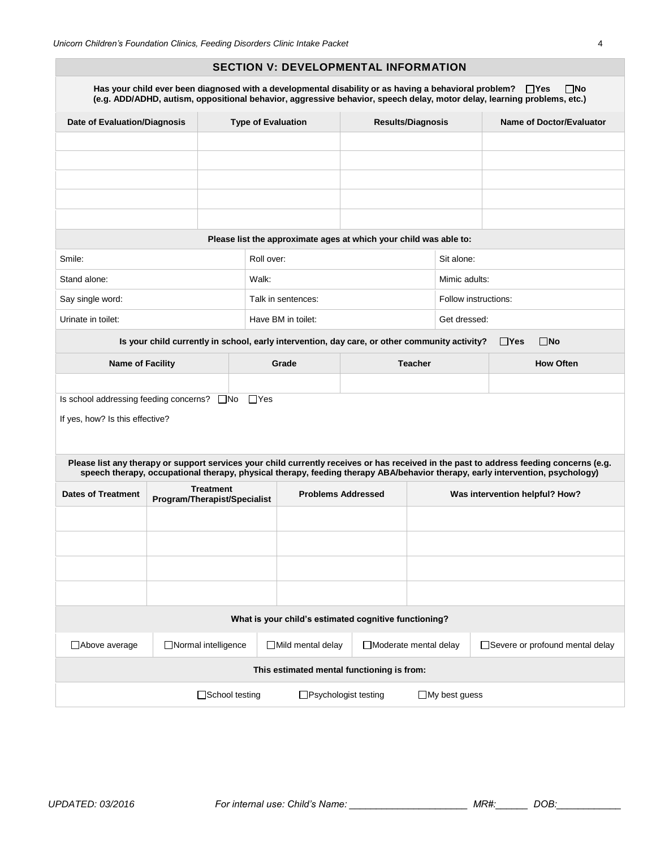#### **SECTION V: DEVELOPMENTAL INFORMATION**

|                                                                                               | Has your child ever been diagnosed with a developmental disability or as having a behavioral problem? $\Box$ Yes |            |                                                                   |  |                          |                                  | $\square$ No<br>(e.g. ADD/ADHD, autism, oppositional behavior, aggressive behavior, speech delay, motor delay, learning problems, etc.)                                                                                                                                  |  |
|-----------------------------------------------------------------------------------------------|------------------------------------------------------------------------------------------------------------------|------------|-------------------------------------------------------------------|--|--------------------------|----------------------------------|--------------------------------------------------------------------------------------------------------------------------------------------------------------------------------------------------------------------------------------------------------------------------|--|
|                                                                                               | <b>Date of Evaluation/Diagnosis</b>                                                                              |            | <b>Type of Evaluation</b>                                         |  | <b>Results/Diagnosis</b> |                                  | Name of Doctor/Evaluator                                                                                                                                                                                                                                                 |  |
|                                                                                               |                                                                                                                  |            |                                                                   |  |                          |                                  |                                                                                                                                                                                                                                                                          |  |
|                                                                                               |                                                                                                                  |            |                                                                   |  |                          |                                  |                                                                                                                                                                                                                                                                          |  |
|                                                                                               |                                                                                                                  |            |                                                                   |  |                          |                                  |                                                                                                                                                                                                                                                                          |  |
|                                                                                               |                                                                                                                  |            |                                                                   |  |                          |                                  |                                                                                                                                                                                                                                                                          |  |
|                                                                                               |                                                                                                                  |            | Please list the approximate ages at which your child was able to: |  |                          |                                  |                                                                                                                                                                                                                                                                          |  |
| Smile:                                                                                        |                                                                                                                  | Roll over: |                                                                   |  |                          | Sit alone:                       |                                                                                                                                                                                                                                                                          |  |
| Stand alone:                                                                                  |                                                                                                                  | Walk:      |                                                                   |  |                          | Mimic adults:                    |                                                                                                                                                                                                                                                                          |  |
| Say single word:                                                                              |                                                                                                                  |            | Talk in sentences:                                                |  |                          | Follow instructions:             |                                                                                                                                                                                                                                                                          |  |
| Urinate in toilet:                                                                            |                                                                                                                  |            | Have BM in toilet:                                                |  |                          | Get dressed:                     |                                                                                                                                                                                                                                                                          |  |
| Is your child currently in school, early intervention, day care, or other community activity? |                                                                                                                  |            |                                                                   |  |                          |                                  | $\Box$ Yes<br>$\Box$ No                                                                                                                                                                                                                                                  |  |
| <b>Name of Facility</b>                                                                       |                                                                                                                  |            | Grade                                                             |  | <b>Teacher</b>           |                                  | <b>How Often</b>                                                                                                                                                                                                                                                         |  |
|                                                                                               |                                                                                                                  |            |                                                                   |  |                          |                                  |                                                                                                                                                                                                                                                                          |  |
| Is school addressing feeding concerns? $\Box$ No                                              |                                                                                                                  | $\Box$ Yes |                                                                   |  |                          |                                  |                                                                                                                                                                                                                                                                          |  |
| If yes, how? Is this effective?                                                               |                                                                                                                  |            |                                                                   |  |                          |                                  |                                                                                                                                                                                                                                                                          |  |
|                                                                                               |                                                                                                                  |            |                                                                   |  |                          |                                  |                                                                                                                                                                                                                                                                          |  |
|                                                                                               |                                                                                                                  |            |                                                                   |  |                          |                                  | Please list any therapy or support services your child currently receives or has received in the past to address feeding concerns (e.g.<br>speech therapy, occupational therapy, physical therapy, feeding therapy ABA/behavior therapy, early intervention, psychology) |  |
| <b>Dates of Treatment</b>                                                                     | <b>Treatment</b><br>Program/Therapist/Specialist                                                                 |            | <b>Problems Addressed</b>                                         |  |                          | Was intervention helpful? How?   |                                                                                                                                                                                                                                                                          |  |
|                                                                                               |                                                                                                                  |            |                                                                   |  |                          |                                  |                                                                                                                                                                                                                                                                          |  |
|                                                                                               |                                                                                                                  |            |                                                                   |  |                          |                                  |                                                                                                                                                                                                                                                                          |  |
|                                                                                               |                                                                                                                  |            |                                                                   |  |                          |                                  |                                                                                                                                                                                                                                                                          |  |
|                                                                                               |                                                                                                                  |            |                                                                   |  |                          |                                  |                                                                                                                                                                                                                                                                          |  |
|                                                                                               |                                                                                                                  |            |                                                                   |  |                          |                                  |                                                                                                                                                                                                                                                                          |  |
|                                                                                               |                                                                                                                  |            | What is your child's estimated cognitive functioning?             |  |                          |                                  |                                                                                                                                                                                                                                                                          |  |
| □ Above average                                                                               | Normal intelligence<br>□Mild mental delay<br>□Moderate mental delay                                              |            |                                                                   |  |                          | □Severe or profound mental delay |                                                                                                                                                                                                                                                                          |  |
| This estimated mental functioning is from:                                                    |                                                                                                                  |            |                                                                   |  |                          |                                  |                                                                                                                                                                                                                                                                          |  |
|                                                                                               | □School testing                                                                                                  |            | □Psychologist testing                                             |  |                          | $\Box$ My best guess             |                                                                                                                                                                                                                                                                          |  |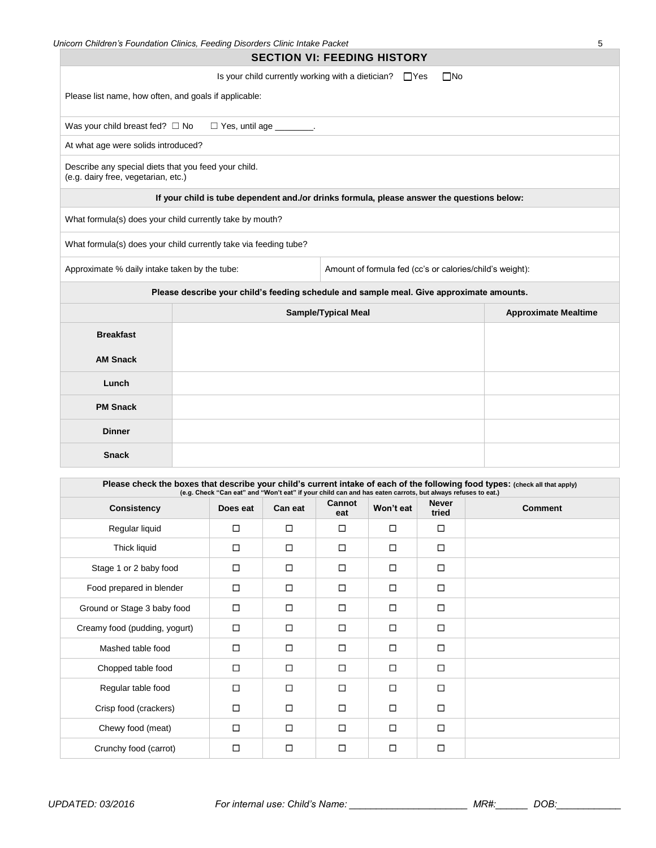|                                                                                             | Unicorn Children's Foundation Clinics, Feeding Disorders Clinic Intake Packet                                                |                                                              |              | 5                           |
|---------------------------------------------------------------------------------------------|------------------------------------------------------------------------------------------------------------------------------|--------------------------------------------------------------|--------------|-----------------------------|
|                                                                                             |                                                                                                                              | <b>SECTION VI: FEEDING HISTORY</b>                           |              |                             |
|                                                                                             |                                                                                                                              | Is your child currently working with a dietician? $\Box$ Yes | $\square$ No |                             |
| Please list name, how often, and goals if applicable:                                       |                                                                                                                              |                                                              |              |                             |
| Was your child breast fed? $\Box$ No                                                        | $\Box$ Yes, until age $\Box$ .                                                                                               |                                                              |              |                             |
| At what age were solids introduced?                                                         |                                                                                                                              |                                                              |              |                             |
| Describe any special diets that you feed your child.<br>(e.g. dairy free, vegetarian, etc.) |                                                                                                                              |                                                              |              |                             |
|                                                                                             | If your child is tube dependent and./or drinks formula, please answer the questions below:                                   |                                                              |              |                             |
| What formula(s) does your child currently take by mouth?                                    |                                                                                                                              |                                                              |              |                             |
|                                                                                             | What formula(s) does your child currently take via feeding tube?                                                             |                                                              |              |                             |
| Approximate % daily intake taken by the tube:                                               |                                                                                                                              | Amount of formula fed (cc's or calories/child's weight):     |              |                             |
|                                                                                             | Please describe your child's feeding schedule and sample meal. Give approximate amounts.                                     |                                                              |              |                             |
|                                                                                             |                                                                                                                              | <b>Sample/Typical Meal</b>                                   |              | <b>Approximate Mealtime</b> |
| <b>Breakfast</b>                                                                            |                                                                                                                              |                                                              |              |                             |
| <b>AM Snack</b>                                                                             |                                                                                                                              |                                                              |              |                             |
| Lunch                                                                                       |                                                                                                                              |                                                              |              |                             |
| <b>PM Snack</b>                                                                             |                                                                                                                              |                                                              |              |                             |
| <b>Dinner</b>                                                                               |                                                                                                                              |                                                              |              |                             |
| <b>Snack</b>                                                                                |                                                                                                                              |                                                              |              |                             |
|                                                                                             | Please check the boxes that describe your child's current intake of each of the following food types: (check all that apply) |                                                              |              |                             |
|                                                                                             | (e.g. Check "Can eat" and "Won't eat" if your child can and has eaten carrots, but always refuses to eat.)                   |                                                              |              |                             |

| Consistency                   | (e.g. Crieck "Carl eat" and "won't eat" if your child can and has eaten carrots, but always refuses to eat.)<br>Does eat | Can eat | Cannot<br>eat | Won't eat | <b>Never</b><br>tried | <b>Comment</b> |
|-------------------------------|--------------------------------------------------------------------------------------------------------------------------|---------|---------------|-----------|-----------------------|----------------|
| Regular liquid                | $\Box$                                                                                                                   | □       | $\Box$        | □         | $\Box$                |                |
| Thick liquid                  | □                                                                                                                        | □       | □             | □         | □                     |                |
| Stage 1 or 2 baby food        | $\Box$                                                                                                                   | □       | □             | □         | $\Box$                |                |
| Food prepared in blender      | $\Box$                                                                                                                   | $\Box$  | $\Box$        | $\Box$    | $\Box$                |                |
| Ground or Stage 3 baby food   | $\Box$                                                                                                                   | □       | $\Box$        | □         | $\Box$                |                |
| Creamy food (pudding, yogurt) | $\Box$                                                                                                                   | □       | $\Box$        | $\Box$    | $\Box$                |                |
| Mashed table food             | $\Box$                                                                                                                   | □       | □             | $\Box$    | $\Box$                |                |
| Chopped table food            | $\Box$                                                                                                                   | □       | □             | $\Box$    | □                     |                |
| Regular table food            | $\Box$                                                                                                                   | п       | $\Box$        | $\Box$    | $\Box$                |                |
| Crisp food (crackers)         | $\Box$                                                                                                                   | □       | □             | $\Box$    | $\Box$                |                |
| Chewy food (meat)             | $\Box$                                                                                                                   | $\Box$  | $\Box$        | $\Box$    | $\Box$                |                |
| Crunchy food (carrot)         | $\Box$                                                                                                                   | $\Box$  | $\Box$        | □         | $\Box$                |                |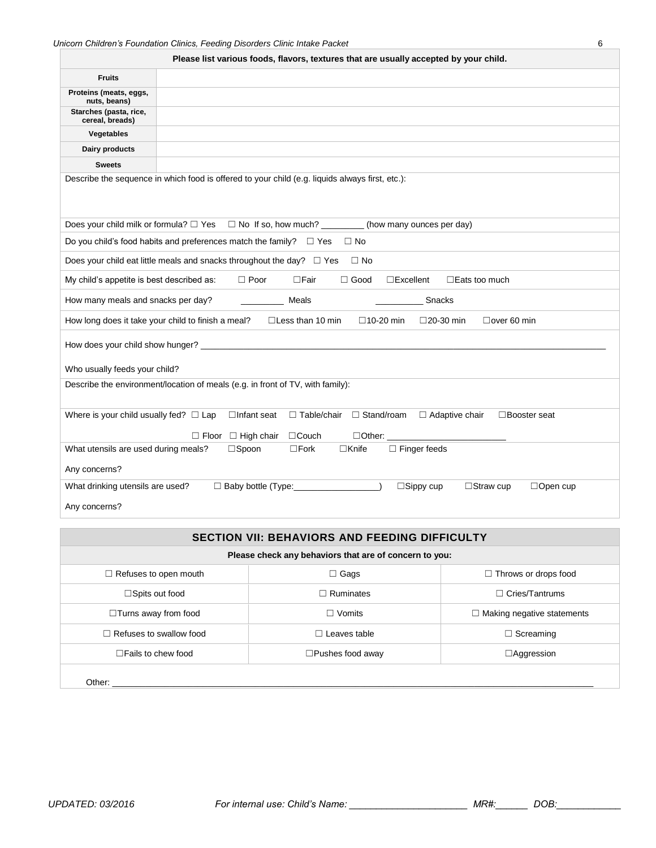|                                                    | Please list various foods, flavors, textures that are usually accepted by your child.                     |  |  |  |  |  |  |
|----------------------------------------------------|-----------------------------------------------------------------------------------------------------------|--|--|--|--|--|--|
| <b>Fruits</b>                                      |                                                                                                           |  |  |  |  |  |  |
| Proteins (meats, eggs,<br>nuts, beans)             |                                                                                                           |  |  |  |  |  |  |
| Starches (pasta, rice,<br>cereal, breads)          |                                                                                                           |  |  |  |  |  |  |
| Vegetables                                         |                                                                                                           |  |  |  |  |  |  |
| Dairy products                                     |                                                                                                           |  |  |  |  |  |  |
| <b>Sweets</b>                                      |                                                                                                           |  |  |  |  |  |  |
|                                                    | Describe the sequence in which food is offered to your child (e.g. liquids always first, etc.):           |  |  |  |  |  |  |
|                                                    | Does your child milk or formula? $\Box$ Yes $\Box$ No If so, how much? _________(how many ounces per day) |  |  |  |  |  |  |
|                                                    | Do you child's food habits and preferences match the family? $\square$ Yes $\square$ No                   |  |  |  |  |  |  |
|                                                    | Does your child eat little meals and snacks throughout the day? $\square$ Yes<br>$\Box$ No                |  |  |  |  |  |  |
| My child's appetite is best described as:          | $\Box$ Good<br>$\Box$ Poor<br>□Fair<br>$\square$ Excellent<br>$\Box$ Eats too much                        |  |  |  |  |  |  |
| How many meals and snacks per day?                 | Meals<br><b>Snacks</b>                                                                                    |  |  |  |  |  |  |
| How long does it take your child to finish a meal? | $\Box$ Less than 10 min<br>$\square$ 10-20 min<br>$\square$ 20-30 min<br>$\Box$ over 60 min               |  |  |  |  |  |  |
|                                                    |                                                                                                           |  |  |  |  |  |  |
| Who usually feeds your child?                      |                                                                                                           |  |  |  |  |  |  |
|                                                    | Describe the environment/location of meals (e.g. in front of TV, with family):                            |  |  |  |  |  |  |
| Where is your child usually fed? $\Box$ Lap        | $\Box$ Table/chair $\Box$ Stand/roam<br>□ Adaptive chair<br>$\Box$ Infant seat<br>□Booster seat           |  |  |  |  |  |  |
|                                                    | $\Box$ Floor<br>$\Box$ High chair<br>$\Box$ Couch                                                         |  |  |  |  |  |  |
| What utensils are used during meals?               | $\square$ Spoon<br>$\square$ Fork<br>$\Box$ Knife<br>$\Box$ Finger feeds                                  |  |  |  |  |  |  |
| Any concerns?                                      |                                                                                                           |  |  |  |  |  |  |
| What drinking utensils are used?                   | $\Box$ Sippy cup<br>$\Box$ Straw cup<br>$\Box$ Baby bottle (Type:<br>$\Box$ Open cup                      |  |  |  |  |  |  |
| Any concerns?                                      |                                                                                                           |  |  |  |  |  |  |

| <b>SECTION VII: BEHAVIORS AND FEEDING DIFFICULTY</b>   |                            |                                   |  |  |  |  |
|--------------------------------------------------------|----------------------------|-----------------------------------|--|--|--|--|
| Please check any behaviors that are of concern to you: |                            |                                   |  |  |  |  |
| $\Box$ Refuses to open mouth                           | $\Box$ Gags                | $\Box$ Throws or drops food       |  |  |  |  |
| $\Box$ Spits out food                                  | $\Box$ Ruminates           |                                   |  |  |  |  |
| $\Box$ Turns away from food                            | $\Box$ Vomits              | $\Box$ Making negative statements |  |  |  |  |
| $\Box$ Refuses to swallow food                         | Leaves table               | $\Box$ Screaming                  |  |  |  |  |
| $\Box$ Fails to chew food                              | $\square$ Pushes food away | $\Box$ Aggression                 |  |  |  |  |
| Other:                                                 |                            |                                   |  |  |  |  |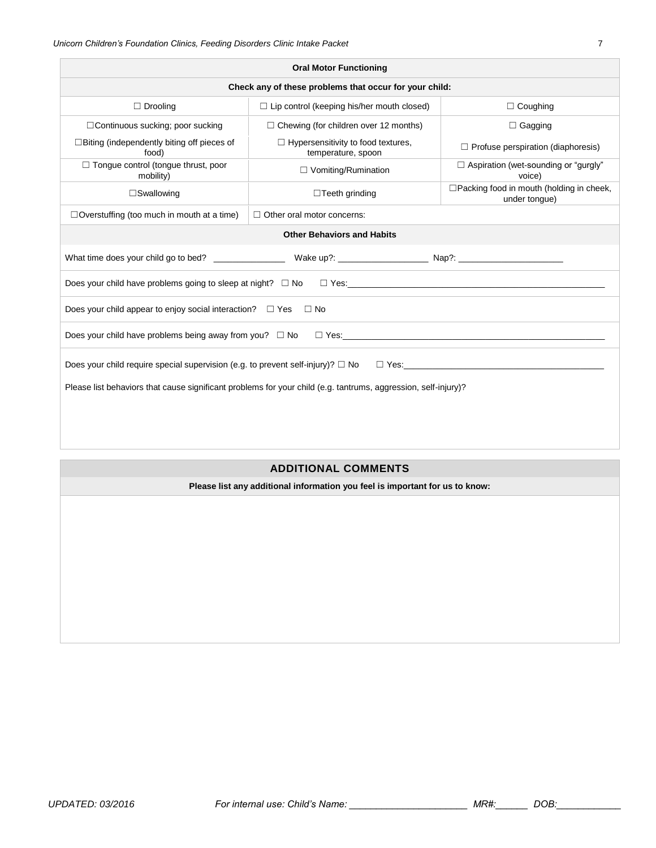| <b>Oral Motor Functioning</b>                                                                                  |                                                                                      |                                                       |  |  |  |  |
|----------------------------------------------------------------------------------------------------------------|--------------------------------------------------------------------------------------|-------------------------------------------------------|--|--|--|--|
|                                                                                                                | Check any of these problems that occur for your child:                               |                                                       |  |  |  |  |
| $\Box$ Drooling                                                                                                | $\Box$ Lip control (keeping his/her mouth closed)                                    | $\Box$ Coughing                                       |  |  |  |  |
| $\Box$ Continuous sucking; poor sucking                                                                        | $\Box$ Chewing (for children over 12 months)                                         | $\Box$ Gagging                                        |  |  |  |  |
| $\Box$ Biting (independently biting off pieces of<br>food)                                                     | $\Box$ Hypersensitivity to food textures,<br>temperature, spoon                      | $\Box$ Profuse perspiration (diaphoresis)             |  |  |  |  |
| $\Box$ Tongue control (tongue thrust, poor<br>mobility)                                                        | $\Box$ Vomiting/Rumination                                                           | $\Box$ Aspiration (wet-sounding or "gurgly"<br>voice) |  |  |  |  |
| $\square$ Swallowing                                                                                           | □ Packing food in mouth (holding in cheek,<br>$\Box$ Teeth grinding<br>under tongue) |                                                       |  |  |  |  |
| $\Box$ Overstuffing (too much in mouth at a time)                                                              | $\Box$ Other oral motor concerns:                                                    |                                                       |  |  |  |  |
| <b>Other Behaviors and Habits</b>                                                                              |                                                                                      |                                                       |  |  |  |  |
|                                                                                                                |                                                                                      |                                                       |  |  |  |  |
|                                                                                                                | Does your child have problems going to sleep at night? $\square$ No $\square$ Yes:   |                                                       |  |  |  |  |
| Does your child appear to enjoy social interaction? $\Box$ Yes                                                 | $\Box$ No                                                                            |                                                       |  |  |  |  |
| Does your child have problems being away from you? $\Box$ No                                                   | $\Box$ Yes:                                                                          |                                                       |  |  |  |  |
| Does your child require special supervision (e.g. to prevent self-injury)? $\square$ No<br>$\Box$ Yes:         |                                                                                      |                                                       |  |  |  |  |
| Please list behaviors that cause significant problems for your child (e.g. tantrums, aggression, self-injury)? |                                                                                      |                                                       |  |  |  |  |
|                                                                                                                |                                                                                      |                                                       |  |  |  |  |
|                                                                                                                |                                                                                      |                                                       |  |  |  |  |
|                                                                                                                |                                                                                      |                                                       |  |  |  |  |

#### **ADDITIONAL COMMENTS**

**Please list any additional information you feel is important for us to know:**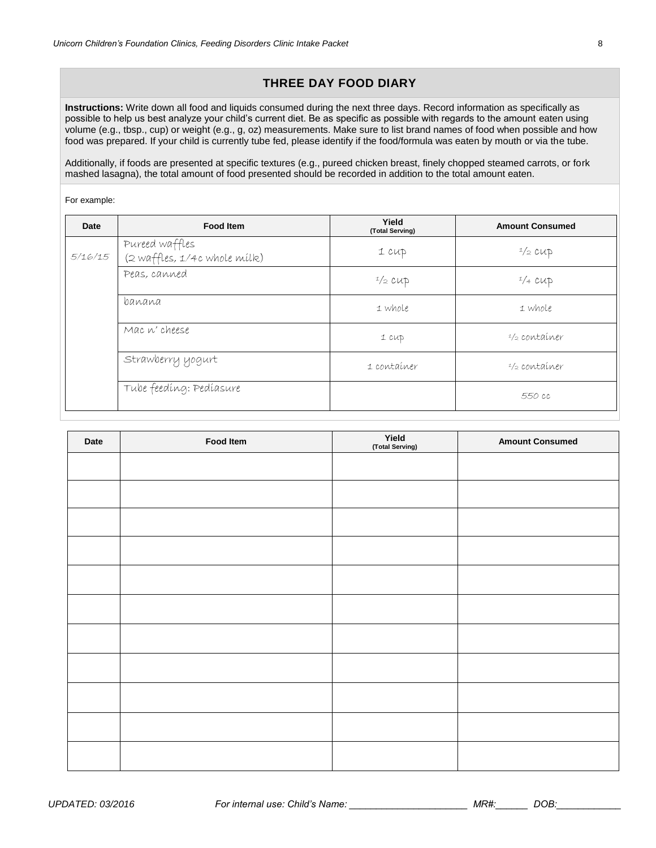## **THREE DAY FOOD DIARY**

**Instructions:** Write down all food and liquids consumed during the next three days. Record information as specifically as possible to help us best analyze your child's current diet. Be as specific as possible with regards to the amount eaten using volume (e.g., tbsp., cup) or weight (e.g., g, oz) measurements. Make sure to list brand names of food when possible and how food was prepared. If your child is currently tube fed, please identify if the food/formula was eaten by mouth or via the tube.

Additionally, if foods are presented at specific textures (e.g., pureed chicken breast, finely chopped steamed carrots, or fork mashed lasagna), the total amount of food presented should be recorded in addition to the total amount eaten.

#### For example:

| Date    | <b>Food Item</b>                               | Yield<br>(Total Serving) | <b>Amount Consumed</b> |
|---------|------------------------------------------------|--------------------------|------------------------|
| 5/16/15 | Pureed waffles<br>(2 waffles, 1/4c whole milk) | 1 CUP                    | $1/2$ CUD              |
|         | Peas, canned                                   | $1/2$ CUP                | $1/4$ CUD              |
|         | banana                                         | 1 whole                  | 1 whole                |
|         | Mac n' cheese                                  | 1 CUP                    | $1/2$ container        |
|         | Strawberry yogurt                              | 1 container              | $1/2$ container        |
|         | Tube feeding: Pediasure                        |                          | 550 cc                 |

| Date | Food Item | Yield<br>(Total Serving) | <b>Amount Consumed</b> |
|------|-----------|--------------------------|------------------------|
|      |           |                          |                        |
|      |           |                          |                        |
|      |           |                          |                        |
|      |           |                          |                        |
|      |           |                          |                        |
|      |           |                          |                        |
|      |           |                          |                        |
|      |           |                          |                        |
|      |           |                          |                        |
|      |           |                          |                        |
|      |           |                          |                        |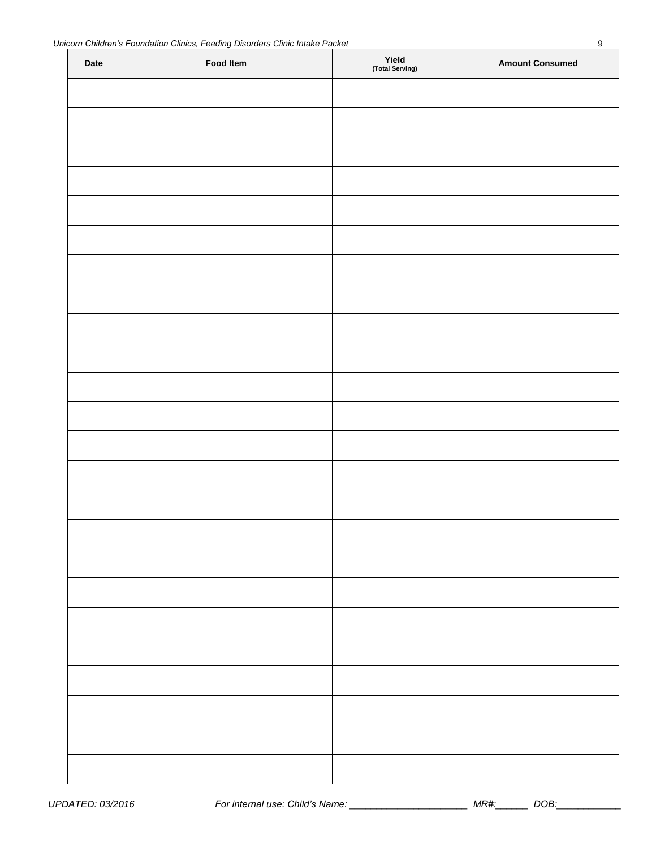| Date | Food Item | Yield<br>(Total Serving) | <b>Amount Consumed</b> |
|------|-----------|--------------------------|------------------------|
|      |           |                          |                        |
|      |           |                          |                        |
|      |           |                          |                        |
|      |           |                          |                        |
|      |           |                          |                        |
|      |           |                          |                        |
|      |           |                          |                        |
|      |           |                          |                        |
|      |           |                          |                        |
|      |           |                          |                        |
|      |           |                          |                        |
|      |           |                          |                        |
|      |           |                          |                        |
|      |           |                          |                        |
|      |           |                          |                        |
|      |           |                          |                        |
|      |           |                          |                        |
|      |           |                          |                        |
|      |           |                          |                        |
|      |           |                          |                        |
|      |           |                          |                        |
|      |           |                          |                        |
|      |           |                          |                        |
|      |           |                          |                        |
|      |           |                          |                        |

*UPDATED: 03/2016 For internal use: Child's Name: \_\_\_\_\_\_\_\_\_\_\_\_\_\_\_\_\_\_\_\_\_\_ MR#:\_\_\_\_\_\_ DOB:\_\_\_\_\_\_\_\_\_\_\_\_*